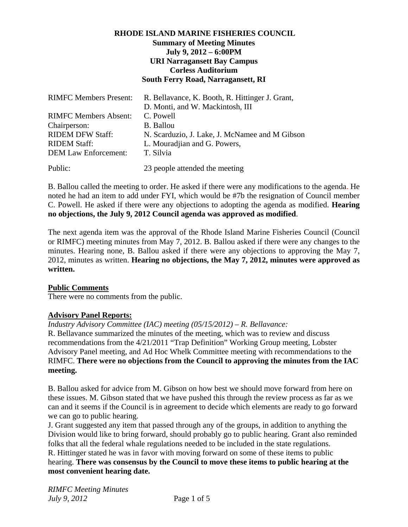# **RHODE ISLAND MARINE FISHERIES COUNCIL Summary of Meeting Minutes July 9, 2012 – 6:00PM URI Narragansett Bay Campus Corless Auditorium South Ferry Road, Narragansett, RI**

| <b>RIMFC Members Present:</b> | R. Bellavance, K. Booth, R. Hittinger J. Grant, |
|-------------------------------|-------------------------------------------------|
|                               | D. Monti, and W. Mackintosh, III                |
| <b>RIMFC Members Absent:</b>  | C. Powell                                       |
| Chairperson:                  | <b>B.</b> Ballou                                |
| <b>RIDEM DFW Staff:</b>       | N. Scarduzio, J. Lake, J. McNamee and M Gibson  |
| <b>RIDEM Staff:</b>           | L. Mouradjian and G. Powers,                    |
| <b>DEM Law Enforcement:</b>   | T. Silvia                                       |
| Public:                       | 23 people attended the meeting                  |

B. Ballou called the meeting to order. He asked if there were any modifications to the agenda. He noted he had an item to add under FYI, which would be #7b the resignation of Council member C. Powell. He asked if there were any objections to adopting the agenda as modified. **Hearing no objections, the July 9, 2012 Council agenda was approved as modified**.

The next agenda item was the approval of the Rhode Island Marine Fisheries Council (Council or RIMFC) meeting minutes from May 7, 2012. B. Ballou asked if there were any changes to the minutes. Hearing none, B. Ballou asked if there were any objections to approving the May 7, 2012, minutes as written. **Hearing no objections, the May 7, 2012, minutes were approved as written.** 

# **Public Comments**

There were no comments from the public.

# **Advisory Panel Reports:**

*Industry Advisory Committee (IAC) meeting (05/15/2012) – R. Bellavance:* 

R. Bellavance summarized the minutes of the meeting, which was to review and discuss recommendations from the 4/21/2011 "Trap Definition" Working Group meeting, Lobster Advisory Panel meeting, and Ad Hoc Whelk Committee meeting with recommendations to the RIMFC. **There were no objections from the Council to approving the minutes from the IAC meeting.**

B. Ballou asked for advice from M. Gibson on how best we should move forward from here on these issues. M. Gibson stated that we have pushed this through the review process as far as we can and it seems if the Council is in agreement to decide which elements are ready to go forward we can go to public hearing.

J. Grant suggested any item that passed through any of the groups, in addition to anything the Division would like to bring forward, should probably go to public hearing. Grant also reminded folks that all the federal whale regulations needed to be included in the state regulations. R. Hittinger stated he was in favor with moving forward on some of these items to public hearing. **There was consensus by the Council to move these items to public hearing at the most convenient hearing date.**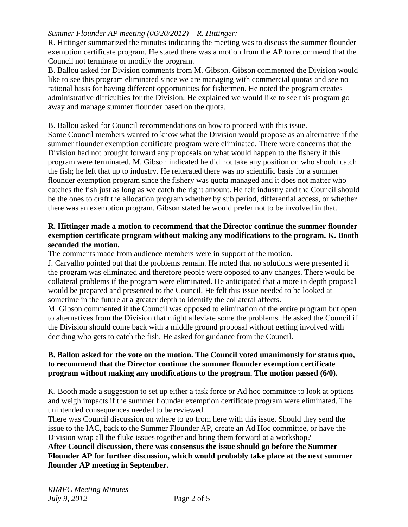### *Summer Flounder AP meeting (06/20/2012) – R. Hittinger:*

R. Hittinger summarized the minutes indicating the meeting was to discuss the summer flounder exemption certificate program. He stated there was a motion from the AP to recommend that the Council not terminate or modify the program.

B. Ballou asked for Division comments from M. Gibson. Gibson commented the Division would like to see this program eliminated since we are managing with commercial quotas and see no rational basis for having different opportunities for fishermen. He noted the program creates administrative difficulties for the Division. He explained we would like to see this program go away and manage summer flounder based on the quota.

#### B. Ballou asked for Council recommendations on how to proceed with this issue.

Some Council members wanted to know what the Division would propose as an alternative if the summer flounder exemption certificate program were eliminated. There were concerns that the Division had not brought forward any proposals on what would happen to the fishery if this program were terminated. M. Gibson indicated he did not take any position on who should catch the fish; he left that up to industry. He reiterated there was no scientific basis for a summer flounder exemption program since the fishery was quota managed and it does not matter who catches the fish just as long as we catch the right amount. He felt industry and the Council should be the ones to craft the allocation program whether by sub period, differential access, or whether there was an exemption program. Gibson stated he would prefer not to be involved in that.

# **R. Hittinger made a motion to recommend that the Director continue the summer flounder exemption certificate program without making any modifications to the program. K. Booth seconded the motion.**

The comments made from audience members were in support of the motion.

J. Carvalho pointed out that the problems remain. He noted that no solutions were presented if the program was eliminated and therefore people were opposed to any changes. There would be collateral problems if the program were eliminated. He anticipated that a more in depth proposal would be prepared and presented to the Council. He felt this issue needed to be looked at sometime in the future at a greater depth to identify the collateral affects.

M. Gibson commented if the Council was opposed to elimination of the entire program but open to alternatives from the Division that might alleviate some the problems. He asked the Council if the Division should come back with a middle ground proposal without getting involved with deciding who gets to catch the fish. He asked for guidance from the Council.

# **B. Ballou asked for the vote on the motion. The Council voted unanimously for status quo, to recommend that the Director continue the summer flounder exemption certificate program without making any modifications to the program. The motion passed (6/0).**

K. Booth made a suggestion to set up either a task force or Ad hoc committee to look at options and weigh impacts if the summer flounder exemption certificate program were eliminated. The unintended consequences needed to be reviewed.

There was Council discussion on where to go from here with this issue. Should they send the issue to the IAC, back to the Summer Flounder AP, create an Ad Hoc committee, or have the Division wrap all the fluke issues together and bring them forward at a workshop?

#### **After Council discussion, there was consensus the issue should go before the Summer Flounder AP for further discussion, which would probably take place at the next summer flounder AP meeting in September.**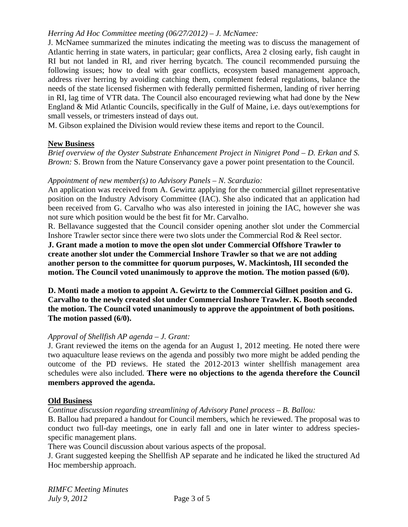# *Herring Ad Hoc Committee meeting (06/27/2012) – J. McNamee:*

J. McNamee summarized the minutes indicating the meeting was to discuss the management of Atlantic herring in state waters, in particular; gear conflicts, Area 2 closing early, fish caught in RI but not landed in RI, and river herring bycatch. The council recommended pursuing the following issues; how to deal with gear conflicts, ecosystem based management approach, address river herring by avoiding catching them, complement federal regulations, balance the needs of the state licensed fishermen with federally permitted fishermen, landing of river herring in RI, lag time of VTR data. The Council also encouraged reviewing what had done by the New England & Mid Atlantic Councils, specifically in the Gulf of Maine, i.e. days out/exemptions for small vessels, or trimesters instead of days out.

M. Gibson explained the Division would review these items and report to the Council.

#### **New Business**

*Brief overview of the Oyster Substrate Enhancement Project in Ninigret Pond – D. Erkan and S. Brown:* S. Brown from the Nature Conservancy gave a power point presentation to the Council.

#### *Appointment of new member(s) to Advisory Panels – N. Scarduzio:*

An application was received from A. Gewirtz applying for the commercial gillnet representative position on the Industry Advisory Committee (IAC). She also indicated that an application had been received from G. Carvalho who was also interested in joining the IAC, however she was not sure which position would be the best fit for Mr. Carvalho.

R. Bellavance suggested that the Council consider opening another slot under the Commercial Inshore Trawler sector since there were two slots under the Commercial Rod & Reel sector.

**J. Grant made a motion to move the open slot under Commercial Offshore Trawler to create another slot under the Commercial Inshore Trawler so that we are not adding another person to the committee for quorum purposes, W. Mackintosh, III seconded the motion. The Council voted unanimously to approve the motion. The motion passed (6/0).** 

**D. Monti made a motion to appoint A. Gewirtz to the Commercial Gillnet position and G. Carvalho to the newly created slot under Commercial Inshore Trawler. K. Booth seconded the motion. The Council voted unanimously to approve the appointment of both positions. The motion passed (6/0).** 

#### *Approval of Shellfish AP agenda – J. Grant:*

J. Grant reviewed the items on the agenda for an August 1, 2012 meeting. He noted there were two aquaculture lease reviews on the agenda and possibly two more might be added pending the outcome of the PD reviews. He stated the 2012-2013 winter shellfish management area schedules were also included. **There were no objections to the agenda therefore the Council members approved the agenda.** 

#### **Old Business**

*Continue discussion regarding streamlining of Advisory Panel process – B. Ballou:* 

B. Ballou had prepared a handout for Council members, which he reviewed. The proposal was to conduct two full-day meetings, one in early fall and one in later winter to address speciesspecific management plans.

There was Council discussion about various aspects of the proposal.

J. Grant suggested keeping the Shellfish AP separate and he indicated he liked the structured Ad Hoc membership approach.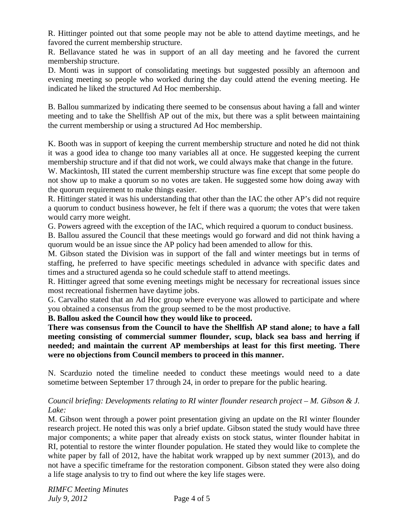R. Hittinger pointed out that some people may not be able to attend daytime meetings, and he favored the current membership structure.

R. Bellavance stated he was in support of an all day meeting and he favored the current membership structure.

D. Monti was in support of consolidating meetings but suggested possibly an afternoon and evening meeting so people who worked during the day could attend the evening meeting. He indicated he liked the structured Ad Hoc membership.

B. Ballou summarized by indicating there seemed to be consensus about having a fall and winter meeting and to take the Shellfish AP out of the mix, but there was a split between maintaining the current membership or using a structured Ad Hoc membership.

K. Booth was in support of keeping the current membership structure and noted he did not think it was a good idea to change too many variables all at once. He suggested keeping the current membership structure and if that did not work, we could always make that change in the future.

W. Mackintosh, III stated the current membership structure was fine except that some people do not show up to make a quorum so no votes are taken. He suggested some how doing away with the quorum requirement to make things easier.

R. Hittinger stated it was his understanding that other than the IAC the other AP's did not require a quorum to conduct business however, he felt if there was a quorum; the votes that were taken would carry more weight.

G. Powers agreed with the exception of the IAC, which required a quorum to conduct business.

B. Ballou assured the Council that these meetings would go forward and did not think having a quorum would be an issue since the AP policy had been amended to allow for this.

M. Gibson stated the Division was in support of the fall and winter meetings but in terms of staffing, he preferred to have specific meetings scheduled in advance with specific dates and times and a structured agenda so he could schedule staff to attend meetings.

R. Hittinger agreed that some evening meetings might be necessary for recreational issues since most recreational fishermen have daytime jobs.

G. Carvalho stated that an Ad Hoc group where everyone was allowed to participate and where you obtained a consensus from the group seemed to be the most productive.

**B. Ballou asked the Council how they would like to proceed.** 

**There was consensus from the Council to have the Shellfish AP stand alone; to have a fall meeting consisting of commercial summer flounder, scup, black sea bass and herring if needed; and maintain the current AP memberships at least for this first meeting. There were no objections from Council members to proceed in this manner.** 

N. Scarduzio noted the timeline needed to conduct these meetings would need to a date sometime between September 17 through 24, in order to prepare for the public hearing.

*Council briefing: Developments relating to RI winter flounder research project – M. Gibson & J. Lake:* 

M. Gibson went through a power point presentation giving an update on the RI winter flounder research project. He noted this was only a brief update. Gibson stated the study would have three major components; a white paper that already exists on stock status, winter flounder habitat in RI, potential to restore the winter flounder population. He stated they would like to complete the white paper by fall of 2012, have the habitat work wrapped up by next summer (2013), and do not have a specific timeframe for the restoration component. Gibson stated they were also doing a life stage analysis to try to find out where the key life stages were.